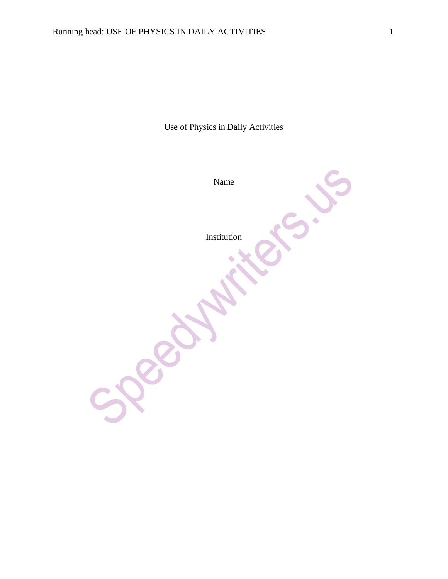Use of Physics in Daily Activities

Name  $\hat{\phantom{a}}$ Institution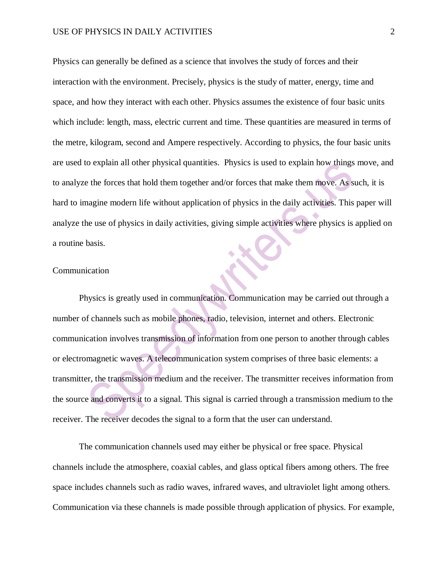Physics can generally be defined as a science that involves the study of forces and their interaction with the environment. Precisely, physics is the study of matter, energy, time and space, and how they interact with each other. Physics assumes the existence of four basic units which include: length, mass, electric current and time. These quantities are measured in terms of the metre, kilogram, second and Ampere respectively. According to physics, the four basic units are used to explain all other physical quantities. Physics is used to explain how things move, and to analyze the forces that hold them together and/or forces that make them move. As such, it is hard to imagine modern life without application of physics in the daily activities. This paper will analyze the use of physics in daily activities, giving simple activities where physics is applied on a routine basis.

### Communication

Physics is greatly used in communication. Communication may be carried out through a number of channels such as mobile phones, radio, television, internet and others. Electronic communication involves transmission of information from one person to another through cables or electromagnetic waves. A telecommunication system comprises of three basic elements: a transmitter, the transmission medium and the receiver. The transmitter receives information from the source and converts it to a signal. This signal is carried through a transmission medium to the receiver. The receiver decodes the signal to a form that the user can understand.

The communication channels used may either be physical or free space. Physical channels include the atmosphere, coaxial cables, and glass optical fibers among others. The free space includes channels such as radio waves, infrared waves, and ultraviolet light among others. Communication via these channels is made possible through application of physics. For example,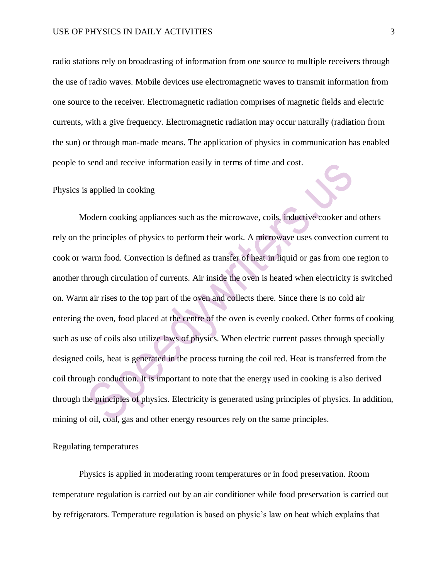radio stations rely on broadcasting of information from one source to multiple receivers through the use of radio waves. Mobile devices use electromagnetic waves to transmit information from one source to the receiver. Electromagnetic radiation comprises of magnetic fields and electric currents, with a give frequency. Electromagnetic radiation may occur naturally (radiation from the sun) or through man-made means. The application of physics in communication has enabled people to send and receive information easily in terms of time and cost.

### Physics is applied in cooking

Modern cooking appliances such as the microwave, coils, inductive cooker and others rely on the principles of physics to perform their work. A microwave uses convection current to cook or warm food. Convection is defined as transfer of heat in liquid or gas from one region to another through circulation of currents. Air inside the oven is heated when electricity is switched on. Warm air rises to the top part of the oven and collects there. Since there is no cold air entering the oven, food placed at the centre of the oven is evenly cooked. Other forms of cooking such as use of coils also utilize laws of physics. When electric current passes through specially designed coils, heat is generated in the process turning the coil red. Heat is transferred from the coil through conduction. It is important to note that the energy used in cooking is also derived through the principles of physics. Electricity is generated using principles of physics. In addition, mining of oil, coal, gas and other energy resources rely on the same principles.

## Regulating temperatures

Physics is applied in moderating room temperatures or in food preservation. Room temperature regulation is carried out by an air conditioner while food preservation is carried out by refrigerators. Temperature regulation is based on physic's law on heat which explains that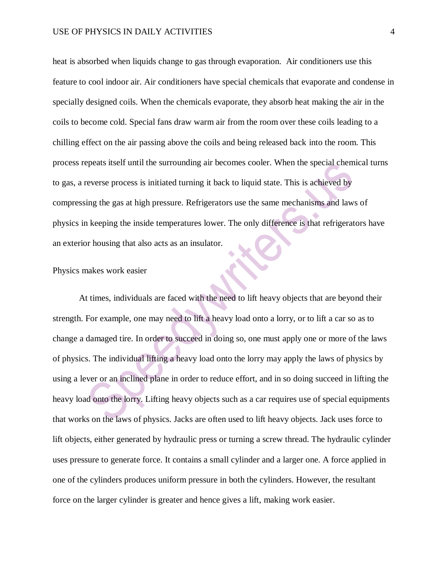heat is absorbed when liquids change to gas through evaporation. Air conditioners use this feature to cool indoor air. Air conditioners have special chemicals that evaporate and condense in specially designed coils. When the chemicals evaporate, they absorb heat making the air in the coils to become cold. Special fans draw warm air from the room over these coils leading to a chilling effect on the air passing above the coils and being released back into the room. This process repeats itself until the surrounding air becomes cooler. When the special chemical turns to gas, a reverse process is initiated turning it back to liquid state. This is achieved by compressing the gas at high pressure. Refrigerators use the same mechanisms and laws of physics in keeping the inside temperatures lower. The only difference is that refrigerators have an exterior housing that also acts as an insulator.

### Physics makes work easier

At times, individuals are faced with the need to lift heavy objects that are beyond their strength. For example, one may need to lift a heavy load onto a lorry, or to lift a car so as to change a damaged tire. In order to succeed in doing so, one must apply one or more of the laws of physics. The individual lifting a heavy load onto the lorry may apply the laws of physics by using a lever or an inclined plane in order to reduce effort, and in so doing succeed in lifting the heavy load onto the lorry. Lifting heavy objects such as a car requires use of special equipments that works on the laws of physics. Jacks are often used to lift heavy objects. Jack uses force to lift objects, either generated by hydraulic press or turning a screw thread. The hydraulic cylinder uses pressure to generate force. It contains a small cylinder and a larger one. A force applied in one of the cylinders produces uniform pressure in both the cylinders. However, the resultant force on the larger cylinder is greater and hence gives a lift, making work easier.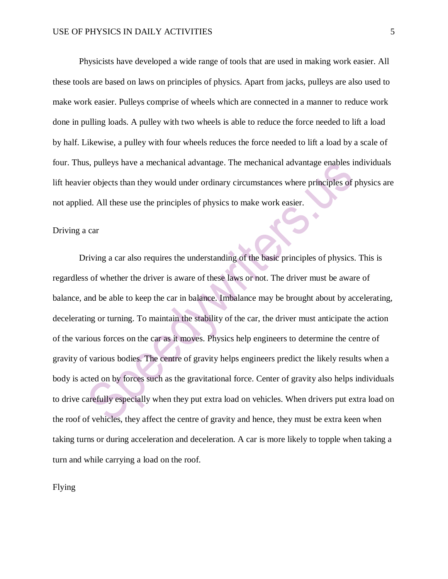Physicists have developed a wide range of tools that are used in making work easier. All these tools are based on laws on principles of physics. Apart from jacks, pulleys are also used to make work easier. Pulleys comprise of wheels which are connected in a manner to reduce work done in pulling loads. A pulley with two wheels is able to reduce the force needed to lift a load by half. Likewise, a pulley with four wheels reduces the force needed to lift a load by a scale of four. Thus, pulleys have a mechanical advantage. The mechanical advantage enables individuals lift heavier objects than they would under ordinary circumstances where principles of physics are not applied. All these use the principles of physics to make work easier.

#### Driving a car

Driving a car also requires the understanding of the basic principles of physics. This is regardless of whether the driver is aware of these laws or not. The driver must be aware of balance, and be able to keep the car in balance. Imbalance may be brought about by accelerating, decelerating or turning. To maintain the stability of the car, the driver must anticipate the action of the various forces on the car as it moves. Physics help engineers to determine the centre of gravity of various bodies. The centre of gravity helps engineers predict the likely results when a body is acted on by forces such as the gravitational force. Center of gravity also helps individuals to drive carefully especially when they put extra load on vehicles. When drivers put extra load on the roof of vehicles, they affect the centre of gravity and hence, they must be extra keen when taking turns or during acceleration and deceleration. A car is more likely to topple when taking a turn and while carrying a load on the roof.

Flying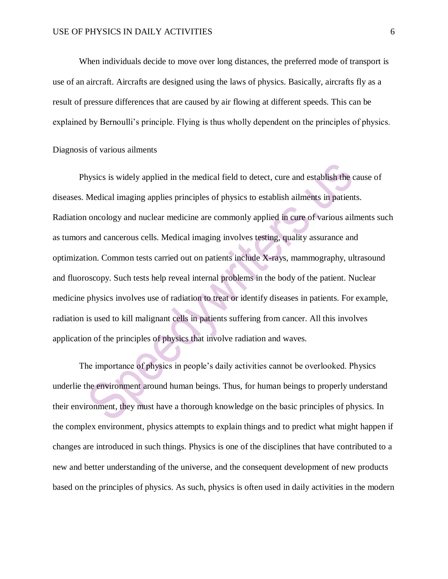When individuals decide to move over long distances, the preferred mode of transport is use of an aircraft. Aircrafts are designed using the laws of physics. Basically, aircrafts fly as a result of pressure differences that are caused by air flowing at different speeds. This can be explained by Bernoulli's principle. Flying is thus wholly dependent on the principles of physics.

## Diagnosis of various ailments

Physics is widely applied in the medical field to detect, cure and establish the cause of diseases. Medical imaging applies principles of physics to establish ailments in patients. Radiation oncology and nuclear medicine are commonly applied in cure of various ailments such as tumors and cancerous cells. Medical imaging involves testing, quality assurance and optimization. Common tests carried out on patients include X-rays, mammography, ultrasound and fluoroscopy. Such tests help reveal internal problems in the body of the patient. Nuclear medicine physics involves use of radiation to treat or identify diseases in patients. For example, radiation is used to kill malignant cells in patients suffering from cancer. All this involves application of the principles of physics that involve radiation and waves.

The importance of physics in people's daily activities cannot be overlooked. Physics underlie the environment around human beings. Thus, for human beings to properly understand their environment, they must have a thorough knowledge on the basic principles of physics. In the complex environment, physics attempts to explain things and to predict what might happen if changes are introduced in such things. Physics is one of the disciplines that have contributed to a new and better understanding of the universe, and the consequent development of new products based on the principles of physics. As such, physics is often used in daily activities in the modern